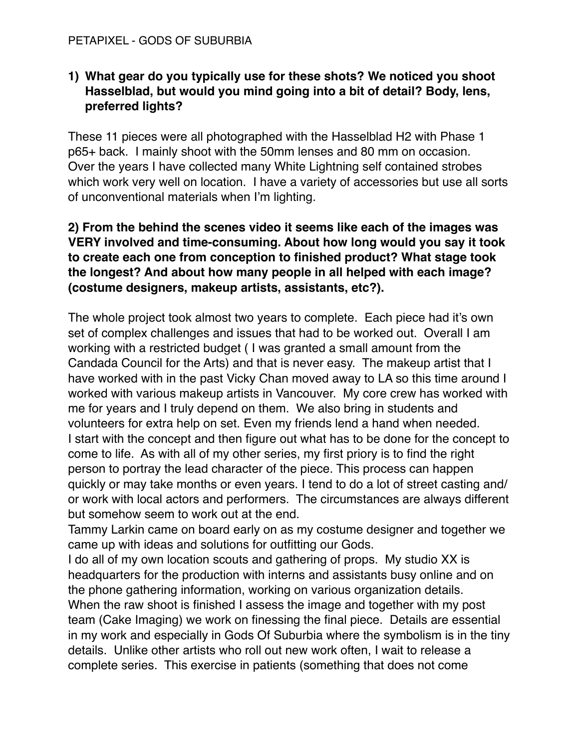# **1) What gear do you typically use for these shots? We noticed you shoot Hasselblad, but would you mind going into a bit of detail? Body, lens, preferred lights?**

These 11 pieces were all photographed with the Hasselblad H2 with Phase 1 p65+ back. I mainly shoot with the 50mm lenses and 80 mm on occasion. Over the years I have collected many White Lightning self contained strobes which work very well on location. I have a variety of accessories but use all sorts of unconventional materials when I'm lighting.

### **2) From the behind the scenes video it seems like each of the images was VERY involved and time-consuming. About how long would you say it took to create each one from conception to finished product? What stage took the longest? And about how many people in all helped with each image? (costume designers, makeup artists, assistants, etc?).**

The whole project took almost two years to complete. Each piece had it's own set of complex challenges and issues that had to be worked out. Overall I am working with a restricted budget ( I was granted a small amount from the Candada Council for the Arts) and that is never easy. The makeup artist that I have worked with in the past Vicky Chan moved away to LA so this time around I worked with various makeup artists in Vancouver. My core crew has worked with me for years and I truly depend on them. We also bring in students and volunteers for extra help on set. Even my friends lend a hand when needed. I start with the concept and then figure out what has to be done for the concept to come to life. As with all of my other series, my first priory is to find the right person to portray the lead character of the piece. This process can happen quickly or may take months or even years. I tend to do a lot of street casting and/ or work with local actors and performers. The circumstances are always different but somehow seem to work out at the end.

Tammy Larkin came on board early on as my costume designer and together we came up with ideas and solutions for outfitting our Gods.

I do all of my own location scouts and gathering of props. My studio XX is headquarters for the production with interns and assistants busy online and on the phone gathering information, working on various organization details. When the raw shoot is finished I assess the image and together with my post team (Cake Imaging) we work on finessing the final piece. Details are essential in my work and especially in Gods Of Suburbia where the symbolism is in the tiny details. Unlike other artists who roll out new work often, I wait to release a complete series. This exercise in patients (something that does not come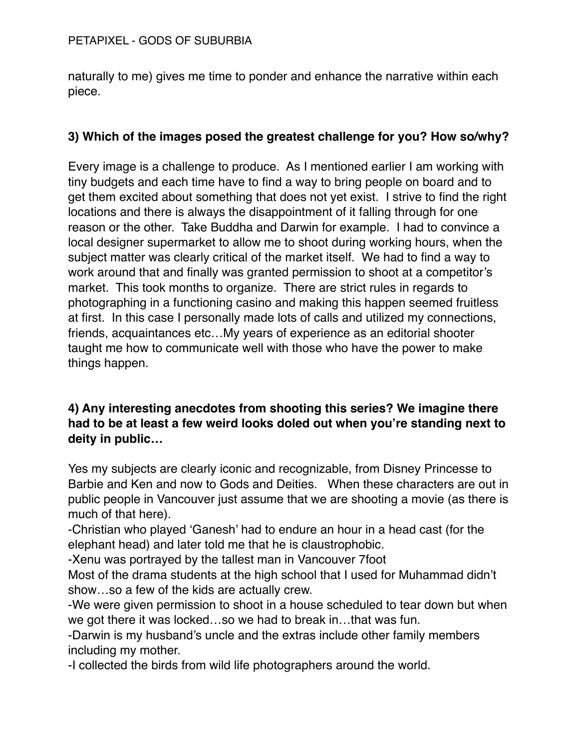naturally to me) gives me time to ponder and enhance the narrative within each piece.

# **3) Which of the images posed the greatest challenge for you? How so/why?**

Every image is a challenge to produce. As I mentioned earlier I am working with tiny budgets and each time have to find a way to bring people on board and to get them excited about something that does not yet exist. I strive to find the right locations and there is always the disappointment of it falling through for one reason or the other. Take Buddha and Darwin for example. I had to convince a local designer supermarket to allow me to shoot during working hours, when the subject matter was clearly critical of the market itself. We had to find a way to work around that and finally was granted permission to shoot at a competitor's market. This took months to organize. There are strict rules in regards to photographing in a functioning casino and making this happen seemed fruitless at first. In this case I personally made lots of calls and utilized my connections, friends, acquaintances etc…My years of experience as an editorial shooter taught me how to communicate well with those who have the power to make things happen.

### **4) Any interesting anecdotes from shooting this series? We imagine there had to be at least a few weird looks doled out when you're standing next to deity in public…**

Yes my subjects are clearly iconic and recognizable, from Disney Princesse to Barbie and Ken and now to Gods and Deities. When these characters are out in public people in Vancouver just assume that we are shooting a movie (as there is much of that here).

-Christian who played 'Ganesh' had to endure an hour in a head cast (for the elephant head) and later told me that he is claustrophobic.

-Xenu was portrayed by the tallest man in Vancouver 7foot

Most of the drama students at the high school that I used for Muhammad didn't show…so a few of the kids are actually crew.

-We were given permission to shoot in a house scheduled to tear down but when we got there it was locked…so we had to break in…that was fun.

-Darwin is my husband's uncle and the extras include other family members including my mother.

-I collected the birds from wild life photographers around the world.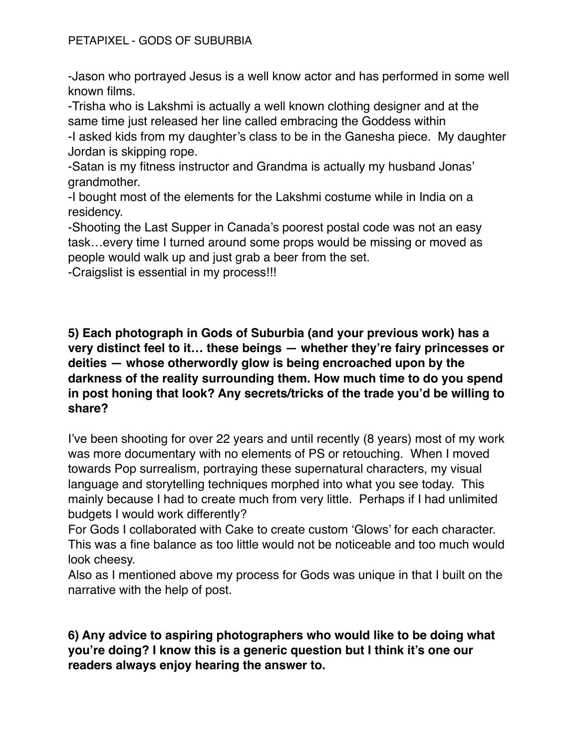-Jason who portrayed Jesus is a well know actor and has performed in some well known films.

-Trisha who is Lakshmi is actually a well known clothing designer and at the same time just released her line called embracing the Goddess within

-I asked kids from my daughter's class to be in the Ganesha piece. My daughter Jordan is skipping rope.

-Satan is my fitness instructor and Grandma is actually my husband Jonas' grandmother.

-I bought most of the elements for the Lakshmi costume while in India on a residency.

-Shooting the Last Supper in Canada's poorest postal code was not an easy task…every time I turned around some props would be missing or moved as people would walk up and just grab a beer from the set.

-Craigslist is essential in my process!!!

**5) Each photograph in Gods of Suburbia (and your previous work) has a very distinct feel to it… these beings — whether they're fairy princesses or deities — whose otherwordly glow is being encroached upon by the darkness of the reality surrounding them. How much time to do you spend in post honing that look? Any secrets/tricks of the trade you'd be willing to share?**

I've been shooting for over 22 years and until recently (8 years) most of my work was more documentary with no elements of PS or retouching. When I moved towards Pop surrealism, portraying these supernatural characters, my visual language and storytelling techniques morphed into what you see today. This mainly because I had to create much from very little. Perhaps if I had unlimited budgets I would work differently?

For Gods I collaborated with Cake to create custom 'Glows' for each character. This was a fine balance as too little would not be noticeable and too much would look cheesy.

Also as I mentioned above my process for Gods was unique in that I built on the narrative with the help of post.

**6) Any advice to aspiring photographers who would like to be doing what you're doing? I know this is a generic question but I think it's one our readers always enjoy hearing the answer to.**